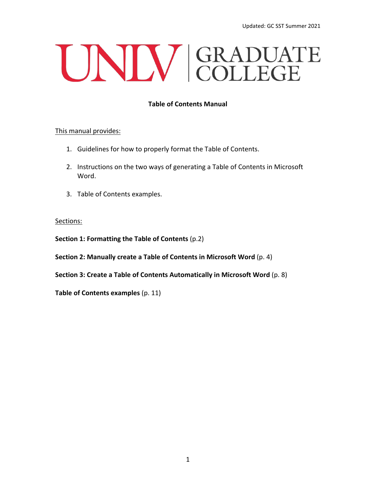# UNIV GRADUATE

## **Table of Contents Manual**

#### This manual provides:

- 1. Guidelines for how to properly format the Table of Contents.
- 2. Instructions on the two ways of generating a Table of Contents in Microsoft Word.
- 3. Table of Contents examples.

#### Sections:

**Section 1: Formatting the Table of Contents** (p.2)

**Section 2: Manually create a Table of Contents in Microsoft Word** (p. 4)

**Section 3: Create a Table of Contents Automatically in Microsoft Word** (p. 8)

**Table of Contents examples** (p. 11)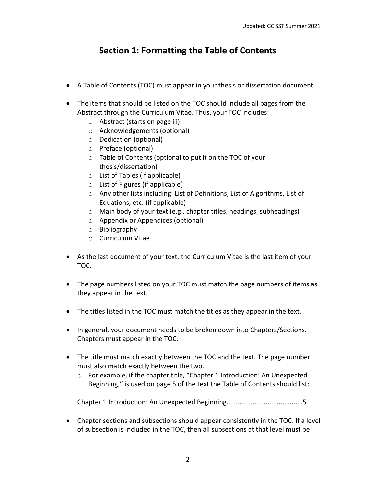# **Section 1: Formatting the Table of Contents**

- A Table of Contents (TOC) must appear in your thesis or dissertation document.
- The items that should be listed on the TOC should include all pages from the Abstract through the Curriculum Vitae. Thus, your TOC includes:
	- o Abstract (starts on page iii)
	- o Acknowledgements (optional)
	- o Dedication (optional)
	- o Preface (optional)
	- o Table of Contents (optional to put it on the TOC of your thesis/dissertation)
	- o List of Tables (if applicable)
	- o List of Figures (if applicable)
	- o Any other lists including: List of Definitions, List of Algorithms, List of Equations, etc. (if applicable)
	- o Main body of your text (e.g., chapter titles, headings, subheadings)
	- o Appendix or Appendices (optional)
	- o Bibliography
	- o Curriculum Vitae
- As the last document of your text, the Curriculum Vitae is the last item of your TOC.
- The page numbers listed on your TOC must match the page numbers of items as they appear in the text.
- The titles listed in the TOC must match the titles as they appear in the text.
- In general, your document needs to be broken down into Chapters/Sections. Chapters must appear in the TOC.
- The title must match exactly between the TOC and the text. The page number must also match exactly between the two.
	- $\circ$  For example, if the chapter title, "Chapter 1 Introduction: An Unexpected Beginning," is used on page 5 of the text the Table of Contents should list:

Chapter 1 Introduction: An Unexpected Beginning.........................................5

• Chapter sections and subsections should appear consistently in the TOC. If a level of subsection is included in the TOC, then all subsections at that level must be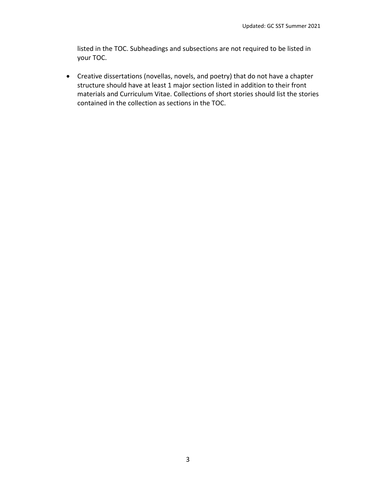listed in the TOC. Subheadings and subsections are not required to be listed in your TOC.

• Creative dissertations (novellas, novels, and poetry) that do not have a chapter structure should have at least 1 major section listed in addition to their front materials and Curriculum Vitae. Collections of short stories should list the stories contained in the collection as sections in the TOC.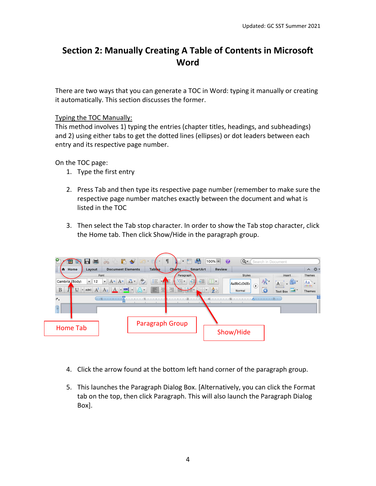## **Section 2: Manually Creating A Table of Contents in Microsoft Word**

There are two ways that you can generate a TOC in Word: typing it manually or creating it automatically. This section discusses the former.

#### Typing the TOC Manually:

This method involves 1) typing the entries (chapter titles, headings, and subheadings) and 2) using either tabs to get the dotted lines (ellipses) or dot leaders between each entry and its respective page number.

On the TOC page:

- 1. Type the first entry
- 2. Press Tab and then type its respective page number (remember to make sure the respective page number matches exactly between the document and what is listed in the TOC
- 3. Then select the Tab stop character. In order to show the Tab stop character, click the Home tab. Then click Show/Hide in the paragraph group.



- 4. Click the arrow found at the bottom left hand corner of the paragraph group.
- 5. This launches the Paragraph Dialog Box. [Alternatively, you can click the Format tab on the top, then click Paragraph. This will also launch the Paragraph Dialog Box].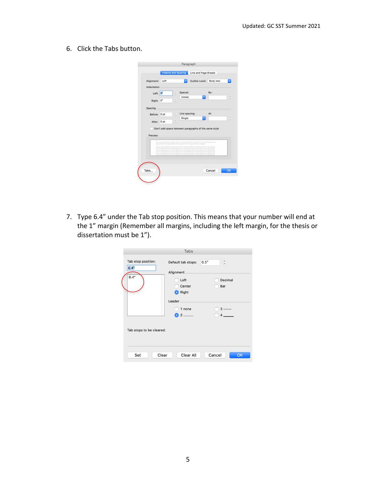6. Click the Tabs button.

|             |                            |                               | Paragraph     |                                                                                                                                                                                                                                                                                                                                                                                                                           |           |                                          |
|-------------|----------------------------|-------------------------------|---------------|---------------------------------------------------------------------------------------------------------------------------------------------------------------------------------------------------------------------------------------------------------------------------------------------------------------------------------------------------------------------------------------------------------------------------|-----------|------------------------------------------|
|             | <b>Indents and Spacing</b> |                               |               | Line and Page Breaks                                                                                                                                                                                                                                                                                                                                                                                                      |           |                                          |
| Alignment:  | Left                       |                               | ٥             | Outline Level:                                                                                                                                                                                                                                                                                                                                                                                                            | Body text | $ \diamond\rangle$                       |
| Indentation |                            |                               |               |                                                                                                                                                                                                                                                                                                                                                                                                                           |           |                                          |
| Left: $0$ " |                            | $\hat{\cdot}$                 | Special:      |                                                                                                                                                                                                                                                                                                                                                                                                                           | By:       |                                          |
| Right:      | 0"                         | ́<br>v                        | (none)        | ¢                                                                                                                                                                                                                                                                                                                                                                                                                         |           | $\overline{\phantom{a}}$<br>$\checkmark$ |
| Spacing     |                            |                               |               |                                                                                                                                                                                                                                                                                                                                                                                                                           |           |                                          |
| Before:     | 0 <sub>pt</sub>            | ¢                             | Line spacing: |                                                                                                                                                                                                                                                                                                                                                                                                                           | At:       |                                          |
| After:      | 0 <sub>pt</sub>            | $\overline{\phantom{a}}$<br>v | Single        | G                                                                                                                                                                                                                                                                                                                                                                                                                         |           | $\hat{}$<br>$\checkmark$                 |
|             |                            |                               |               | Don't add space between paragraphs of the same style                                                                                                                                                                                                                                                                                                                                                                      |           |                                          |
| Preview     |                            |                               |               |                                                                                                                                                                                                                                                                                                                                                                                                                           |           |                                          |
|             |                            |                               |               | Previews Paragraph Previous Paragraph Previous Paragraph Previews Paragraph Previous Paragraph Previous                                                                                                                                                                                                                                                                                                                   |           |                                          |
|             |                            |                               |               | Paragraph Provices Paragraph Previews Paragraph Previous Paragraph Provices Paragraph<br>Following Persgraph Following Paragraph Following Persgraph Following Paragraph Following Paragraph<br>Following Paragraph Fallowing Paragraph Following Paragraph Following Paragraph Following Paragraph                                                                                                                       |           |                                          |
|             |                            |                               |               | Following Paragraph Fallowing Paragraph Following Paragraph Following Paragraph Following Paragraph<br>Following Paragraph Following Paragraph Following Paragraph Following Paragraph Following Paragraph<br>Following Paragraph Following Paragraph Following Paragraph Following Paragraph Following Paragraph<br>Following Persentab Following Paragnon Following Persentab Following Paragnaph Following Persentable |           |                                          |
|             |                            |                               |               |                                                                                                                                                                                                                                                                                                                                                                                                                           |           |                                          |
|             |                            |                               |               |                                                                                                                                                                                                                                                                                                                                                                                                                           |           |                                          |
| Tabs        |                            |                               |               |                                                                                                                                                                                                                                                                                                                                                                                                                           | Cancel    | OK                                       |
|             |                            |                               |               |                                                                                                                                                                                                                                                                                                                                                                                                                           |           |                                          |
|             |                            |                               |               |                                                                                                                                                                                                                                                                                                                                                                                                                           |           |                                          |

7. Type 6.4" under the Tab stop position. This means that your number will end at the 1" margin (Remember all margins, including the left margin, for the thesis or dissertation must be 1").

|                            | Tabs                            |                       |
|----------------------------|---------------------------------|-----------------------|
| Tab stop position:<br>6.4" | Default tab stops:<br>Alignment | $\hat{\cdot}$<br>0.5" |
| 6.4"                       | Left<br>Center<br>Right         | Decimal<br>Bar        |
|                            | Leader<br>1 none                | $3$ -----             |
|                            | 2                               | $\Delta$              |
| Tab stops to be cleared:   |                                 |                       |
| Clear<br>Set               | Clear All                       | Cancel<br>OK          |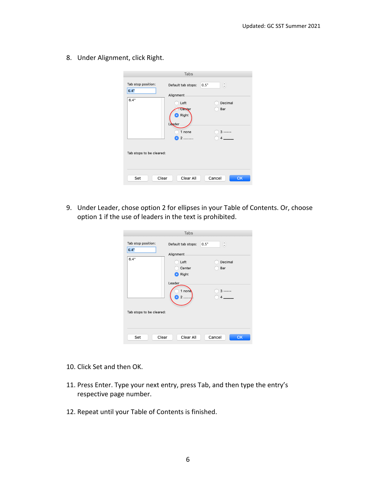8. Under Alignment, click Right.

|                            | Tabs                                       |                       |
|----------------------------|--------------------------------------------|-----------------------|
| Tab stop position:<br>6.4" | Default tab stops:<br>Alignment            | $\hat{\cdot}$<br>0.5" |
| 6.4"                       | Left<br>Center<br><b>D</b> Right<br>Leader | Decimal<br>Bar        |
| Tab stops to be cleared:   | 1 none<br>2                                | $3$ -----<br>4        |
| Clear<br>Set               | Clear All                                  | Cancel<br>OK          |

9. Under Leader, chose option 2 for ellipses in your Table of Contents. Or, choose option 1 if the use of leaders in the text is prohibited.

|                            | Tabs                            |                       |
|----------------------------|---------------------------------|-----------------------|
| Tab stop position:<br>6.4" | Default tab stops:<br>Alignment | $\hat{\cdot}$<br>0.5" |
| 6.4"                       | Left<br>Center<br>Right         | Decimal<br>Bar        |
|                            | Leader<br>1 none                | 3<br>4                |
| Tab stops to be cleared:   |                                 |                       |
| Set<br>Clear               | Clear All                       | Cancel<br>OK          |

- 10. Click Set and then OK.
- 11. Press Enter. Type your next entry, press Tab, and then type the entry's respective page number.
- 12. Repeat until your Table of Contents is finished.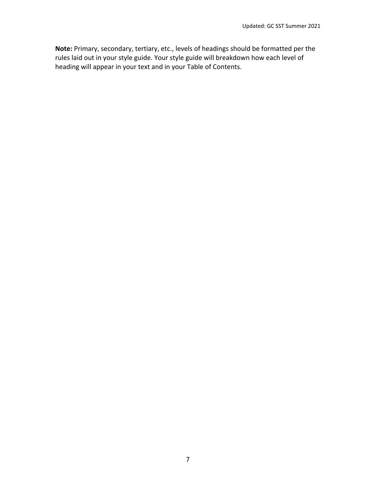**Note:** Primary, secondary, tertiary, etc., levels of headings should be formatted per the rules laid out in your style guide. Your style guide will breakdown how each level of heading will appear in your text and in your Table of Contents.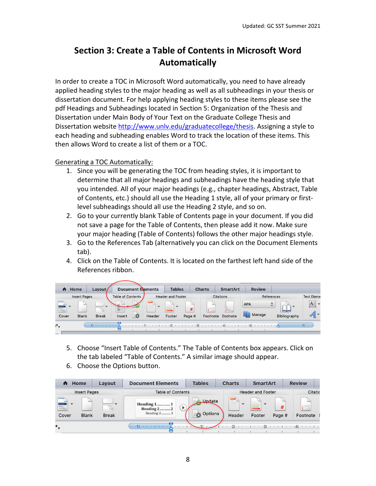# **Section 3: Create a Table of Contents in Microsoft Word Automatically**

In order to create a TOC in Microsoft Word automatically, you need to have already applied heading styles to the major heading as well as all subheadings in your thesis or dissertation document. For help applying heading styles to these items please see the pdf Headings and Subheadings located in Section 5: Organization of the Thesis and Dissertation under Main Body of Your Text on the Graduate College Thesis and Dissertation website [http://www.unlv.edu/graduatecollege/thesis.](http://www.unlv.edu/graduatecollege/thesis) Assigning a style to each heading and subheading enables Word to track the location of these items. This then allows Word to create a list of them or a TOC.

Generating a TOC Automatically:

- 1. Since you will be generating the TOC from heading styles, it is important to determine that all major headings and subheadings have the heading style that you intended. All of your major headings (e.g., chapter headings, Abstract, Table of Contents, etc.) should all use the Heading 1 style, all of your primary or firstlevel subheadings should all use the Heading 2 style, and so on.
- 2. Go to your currently blank Table of Contents page in your document. If you did not save a page for the Table of Contents, then please add it now. Make sure your major heading (Table of Contents) follows the other major headings style.
- 3. Go to the References Tab (alternatively you can click on the Document Elements tab).
- 4. Click on the Table of Contents. It is located on the farthest left hand side of the References ribbon.

| A                                     | Home               | Layout,      |                   | <b>Document Elements</b> |                                                                        | <b>Tables</b>                            |                                        | <b>Charts</b>                                                                                                                                                                                                                                                                                                                                                                                                                                                                                                                                                            | <b>SmartArt</b>  | <b>Review</b> |                          |                                       |
|---------------------------------------|--------------------|--------------|-------------------|--------------------------|------------------------------------------------------------------------|------------------------------------------|----------------------------------------|--------------------------------------------------------------------------------------------------------------------------------------------------------------------------------------------------------------------------------------------------------------------------------------------------------------------------------------------------------------------------------------------------------------------------------------------------------------------------------------------------------------------------------------------------------------------------|------------------|---------------|--------------------------|---------------------------------------|
|                                       | Insert Pages       |              | Table of Contents |                          |                                                                        | <b>Header and Footer</b>                 |                                        |                                                                                                                                                                                                                                                                                                                                                                                                                                                                                                                                                                          | <b>Citations</b> |               | References               | <b>:Text Eleme</b>                    |
| <b>Bally</b>                          |                    |              | stamped.<br>聖典    | sea 1                    | <b>Selection</b><br><b>STATISTICS</b><br>--<br>$\mathbf{v}$<br>$-11.1$ | m<br>$\overline{\mathbf{v}}$<br>$\equiv$ | #                                      |                                                                                                                                                                                                                                                                                                                                                                                                                                                                                                                                                                          |                  | <b>APA</b>    | ---<br><b>CONTRACTOR</b> | $A \equiv$<br>$\overline{\mathbf{v}}$ |
| <b><i>CAR CARD CARDS</i></b><br>Cover | <b>Blank</b>       | <b>Break</b> | Insert            | $***$                    | Header                                                                 | Footer                                   | Page #                                 | Footnote                                                                                                                                                                                                                                                                                                                                                                                                                                                                                                                                                                 | Endnote          | Manage        | Bibliography             | $\mathbf{v}$                          |
| ٠.                                    | $\cdot$ $\cdot$ 11 |              |                   |                          |                                                                        |                                          | $\cdot \cdot \cdot 3$<br>$\sim$ $\sim$ | $\begin{array}{cccccccccccccc} \multicolumn{4}{c }{\color{blue}\begin{array}{cccccccccccccccccc} \multicolumn{4}{c }{\color{blue}\begin{array}{cccccccccccccc} \multicolumn{4}{c }{\color{blue}\end{array}} & \multicolumn{4}{c }{\color{blue}\begin{array}{cccccccccccccc} \multicolumn{4}{c }{\color{blue}\end{array}} & \multicolumn{4}{c }{\color{blue}\begin{array}{cccccccccccccc} \multicolumn{4}{c }{\color{blue}\end{array}} & \multicolumn{4}{c }{\color{blue}\begin{array}{cccccccccccccc} \multicolumn{4}{c }{\color{blue}\end{array}} & \multicolumn{4}{c $ | .4               | 11.5          |                          |                                       |
|                                       |                    |              |                   |                          |                                                                        |                                          |                                        |                                                                                                                                                                                                                                                                                                                                                                                                                                                                                                                                                                          |                  |               |                          |                                       |

- 5. Choose "Insert Table of Contents." The Table of Contents box appears. Click on the tab labeled "Table of Contents." A similar image should appear.
- 6. Choose the Options button.

| Ħ                                                                       | Home                | Layout       | <b>Document Elements</b>                           | <b>Tables</b>                                         | <b>Charts</b>                   | <b>SmartArt</b>                                                     | <b>Review</b>      |
|-------------------------------------------------------------------------|---------------------|--------------|----------------------------------------------------|-------------------------------------------------------|---------------------------------|---------------------------------------------------------------------|--------------------|
|                                                                         | <b>Insert Pages</b> |              | <b>Table of Contents</b>                           |                                                       |                                 | <b>Header and Footer</b>                                            | Citatic            |
| $-$<br><b>BAKER</b><br><b><i><u>A TACK A TACK HOME</u></i></b><br>Cover | <b>Blank</b>        | <b>Break</b> | <b>Heading 11</b><br>Heading $2$ $2$<br>Heading 3. | $-1$<br><b>Lindate</b><br>$=$<br>$-1$<br>Options<br>拉 | ᆕ<br>presentation and<br>Header | $\overline{\phantom{a}}$<br><b>STATISTICS</b><br>$\equiv$<br>Footer | Footnote<br>Page # |
| ۰.                                                                      |                     |              | $\mathbf{r}$                                       |                                                       | .21                             | .3                                                                  | .4<br>1 1 1 1 1    |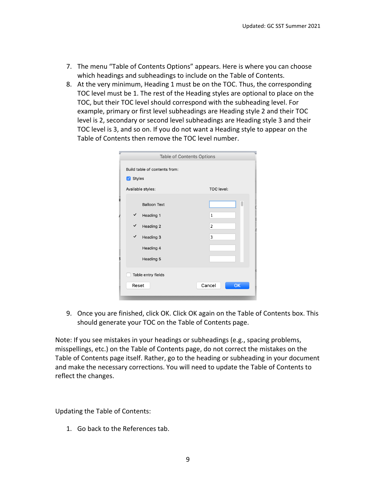- 7. The menu "Table of Contents Options" appears. Here is where you can choose which headings and subheadings to include on the Table of Contents.
- 8. At the very minimum, Heading 1 must be on the TOC. Thus, the corresponding TOC level must be 1. The rest of the Heading styles are optional to place on the TOC, but their TOC level should correspond with the subheading level. For example, primary or first level subheadings are Heading style 2 and their TOC level is 2, secondary or second level subheadings are Heading style 3 and their TOC level is 3, and so on. If you do not want a Heading style to appear on the Table of Contents then remove the TOC level number.

| Styles       | Build table of contents from: |                     |
|--------------|-------------------------------|---------------------|
|              | Available styles:             | <b>TOC</b> level:   |
|              | <b>Balloon Text</b>           |                     |
| ✓            | Heading 1                     | $\mathbf 1$         |
| $\checkmark$ | Heading 2                     | 2                   |
| $\checkmark$ | Heading 3                     | 3                   |
|              | Heading 4                     |                     |
|              | Heading 5                     |                     |
|              | Table entry fields            |                     |
|              | Reset                         | <b>OK</b><br>Cancel |

9. Once you are finished, click OK. Click OK again on the Table of Contents box. This should generate your TOC on the Table of Contents page.

Note: If you see mistakes in your headings or subheadings (e.g., spacing problems, misspellings, etc.) on the Table of Contents page, do not correct the mistakes on the Table of Contents page itself. Rather, go to the heading or subheading in your document and make the necessary corrections. You will need to update the Table of Contents to reflect the changes.

Updating the Table of Contents:

1. Go back to the References tab.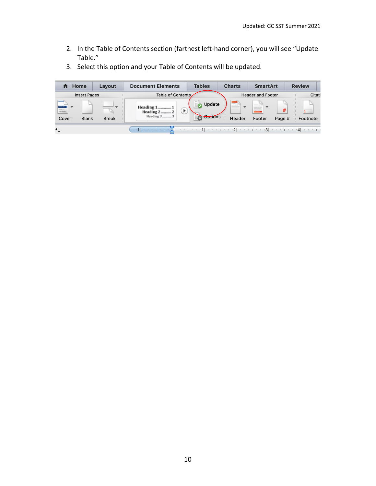2. In the Table of Contents section (farthest left-hand corner), you will see "Update Table."

| Home<br>п                                          |                     | Layout       | <b>Document Elements</b>                                    | <b>Tables</b>                            | <b>Charts</b>                                                      | <b>SmartArt</b>                                                                        | <b>Review</b> |
|----------------------------------------------------|---------------------|--------------|-------------------------------------------------------------|------------------------------------------|--------------------------------------------------------------------|----------------------------------------------------------------------------------------|---------------|
|                                                    | <b>Insert Pages</b> |              | <b>Table of Contents</b>                                    |                                          |                                                                    | <b>Header and Footer</b>                                                               | Citati        |
| <b>BAKLE</b><br><b>CAR &amp; ASSISTER</b><br>Cover | <b>Blank</b>        | <b>Break</b> | <b>Heading 11</b><br>Þ<br><b>Heading 22</b><br>Heading 3  3 | men 1<br>Update<br>TP.<br><b>Options</b> | ᆕ<br>$\overline{\mathbf{v}}$<br><b>Committee</b><br>----<br>Header | $\sim$<br>$\mathbf{w}$<br>all leaters leaters.<br>keyenisms<br>---<br>Footer<br>Page # | Footnote      |
| ۰.                                                 |                     |              | $\cdot$ $\cdot$ 1.                                          |                                          |                                                                    |                                                                                        |               |

3. Select this option and your Table of Contents will be updated.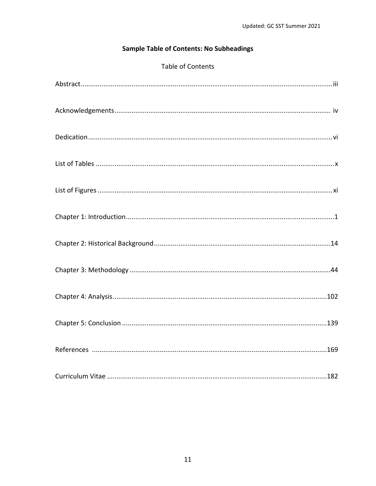## **Sample Table of Contents: No Subheadings**

## Table of Contents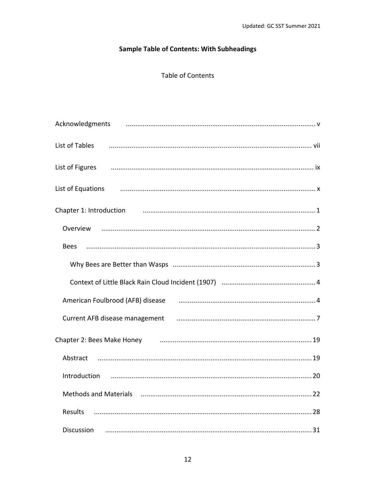## **Sample Table of Contents: With Subheadings**

## Table of Contents

| Acknowledgments                                                                                                        |
|------------------------------------------------------------------------------------------------------------------------|
| List of Tables                                                                                                         |
| List of Figures <b>Commission Commission Commission</b> Commission Commission Commission Commission Commission Commiss |
| List of Equations                                                                                                      |
| Chapter 1: Introduction manufactured and the control of the control of the chapter 1: Introduction                     |
| Overview                                                                                                               |
| <b>Bees</b>                                                                                                            |
|                                                                                                                        |
|                                                                                                                        |
| American Foulbrood (AFB) disease [11] manufacture material manufacture discussed and American A                        |
| Current AFB disease management manufactured and the manufactured and Terminan and Terminan and Termina and Ter         |
|                                                                                                                        |
| Abstract                                                                                                               |
| Introduction                                                                                                           |
| Methods and Materials (2008) (2008) Methods and Materials (2008) (2008) (2008) (2008) (2008) (2008) (2008) (20         |
| <b>Results</b>                                                                                                         |
| Discussion                                                                                                             |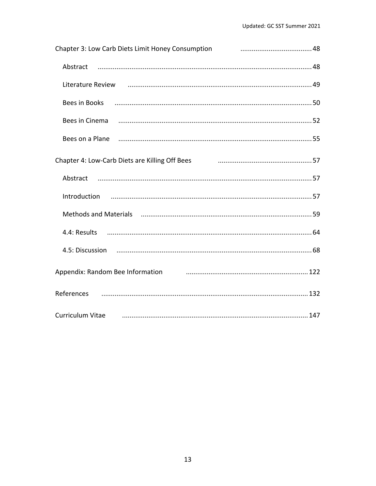| Chapter 3: Low Carb Diets Limit Honey Consumption [11] Chapter 3: Low Carb Diets Limit Honey Consumption         |
|------------------------------------------------------------------------------------------------------------------|
| Abstract                                                                                                         |
| Literature Review использование и полности с последним составительности и части с 49                             |
|                                                                                                                  |
|                                                                                                                  |
| Bees on a Plane manufacture and the control of the control of the control of the set of the control of the set o |
|                                                                                                                  |
|                                                                                                                  |
|                                                                                                                  |
| Methods and Materials (and materials and material continuum material material material material material mater   |
|                                                                                                                  |
|                                                                                                                  |
| Appendix: Random Bee Information <b>container and all and all and all and all and all and all and all a</b>      |
|                                                                                                                  |
| <b>Curriculum Vitae</b>                                                                                          |